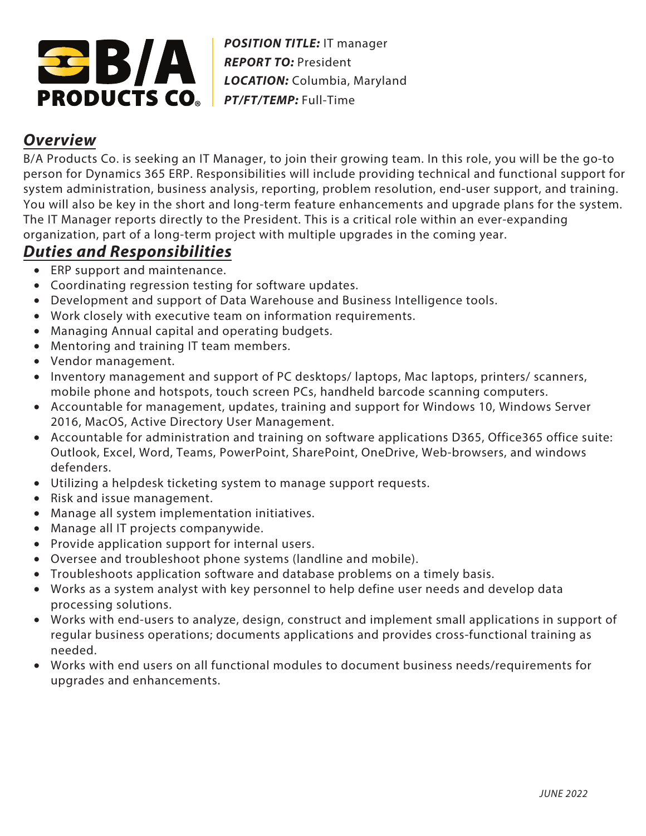

*POSITION TITLE:* IT manager *REPORT TO:* President *LOCATION:* Columbia, Maryland *PT/FT/TEMP:* Full-Time

## **Overview**

B/A Products Co. is seeking an IT Manager, to join their growing team. In this role, you will be the go-to person for Dynamics 365 ERP. Responsibilities will include providing technical and functional support for system administration, business analysis, reporting, problem resolution, end-user support, and training. You will also be key in the short and long-term feature enhancements and upgrade plans for the system. The IT Manager reports directly to the President. This is a critical role within an ever-expanding organization, part of a long-term project with multiple upgrades in the coming year.

## **Duties and Responsibilities**

- ERP support and maintenance.
- Coordinating regression testing for software updates.
- Development and support of Data Warehouse and Business Intelligence tools.
- Work closely with executive team on information requirements.
- Managing Annual capital and operating budgets.
- Mentoring and training IT team members.
- Vendor management.
- Inventory management and support of PC desktops/ laptops, Mac laptops, printers/ scanners, mobile phone and hotspots, touch screen PCs, handheld barcode scanning computers.
- Accountable for management, updates, training and support for Windows 10, Windows Server 2016, MacOS, Active Directory User Management.
- Accountable for administration and training on software applications D365, Office365 office suite: Outlook, Excel, Word, Teams, PowerPoint, SharePoint, OneDrive, Web-browsers, and windows defenders.
- Utilizing a helpdesk ticketing system to manage support requests.
- Risk and issue management.
- Manage all system implementation initiatives.
- Manage all IT projects companywide.
- Provide application support for internal users.
- Oversee and troubleshoot phone systems (landline and mobile).
- Troubleshoots application software and database problems on a timely basis.
- Works as a system analyst with key personnel to help define user needs and develop data processing solutions.
- Works with end-users to analyze, design, construct and implement small applications in support of regular business operations; documents applications and provides cross-functional training as needed.
- Works with end users on all functional modules to document business needs/requirements for upgrades and enhancements.